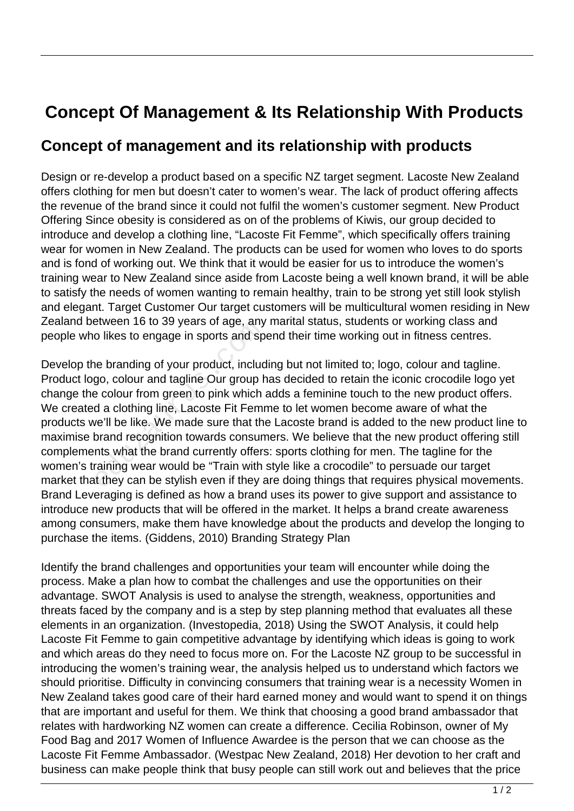## **Concept Of Management & Its Relationship With Products**

## **Concept of management and its relationship with products**

Design or re-develop a product based on a specific NZ target segment. Lacoste New Zealand offers clothing for men but doesn't cater to women's wear. The lack of product offering affects the revenue of the brand since it could not fulfil the women's customer segment. New Product Offering Since obesity is considered as on of the problems of Kiwis, our group decided to introduce and develop a clothing line, "Lacoste Fit Femme", which specifically offers training wear for women in New Zealand. The products can be used for women who loves to do sports and is fond of working out. We think that it would be easier for us to introduce the women's training wear to New Zealand since aside from Lacoste being a well known brand, it will be able to satisfy the needs of women wanting to remain healthy, train to be strong yet still look stylish and elegant. Target Customer Our target customers will be multicultural women residing in New Zealand between 16 to 39 years of age, any marital status, students or working class and people who likes to engage in sports and spend their time working out in fitness centres.

Develop the branding of your product, including but not limited to; logo, colour and tagline. Product logo, colour and tagline Our group has decided to retain the iconic crocodile logo yet change the colour from green to pink which adds a feminine touch to the new product offers. We created a clothing line, Lacoste Fit Femme to let women become aware of what the products we'll be like. We made sure that the Lacoste brand is added to the new product line to maximise brand recognition towards consumers. We believe that the new product offering still complements what the brand currently offers: sports clothing for men. The tagline for the women's training wear would be "Train with style like a crocodile" to persuade our target market that they can be stylish even if they are doing things that requires physical movements. Brand Leveraging is defined as how a brand uses its power to give support and assistance to introduce new products that will be offered in the market. It helps a brand create awareness among consumers, make them have knowledge about the products and develop the longing to purchase the items. (Giddens, 2010) Branding Strategy Plan etween To to 39 years of age, any<br>o likes to engage in sports and sp<br>ne branding of your product, includ<br>go, colour and tagline Our group h<br>e colour from green to pink which<br>d a clothing line, Lacoste Fit Femr<br>ne'll be lik

Identify the brand challenges and opportunities your team will encounter while doing the process. Make a plan how to combat the challenges and use the opportunities on their advantage. SWOT Analysis is used to analyse the strength, weakness, opportunities and threats faced by the company and is a step by step planning method that evaluates all these elements in an organization. (Investopedia, 2018) Using the SWOT Analysis, it could help Lacoste Fit Femme to gain competitive advantage by identifying which ideas is going to work and which areas do they need to focus more on. For the Lacoste NZ group to be successful in introducing the women's training wear, the analysis helped us to understand which factors we should prioritise. Difficulty in convincing consumers that training wear is a necessity Women in New Zealand takes good care of their hard earned money and would want to spend it on things that are important and useful for them. We think that choosing a good brand ambassador that relates with hardworking NZ women can create a difference. Cecilia Robinson, owner of My Food Bag and 2017 Women of Influence Awardee is the person that we can choose as the Lacoste Fit Femme Ambassador. (Westpac New Zealand, 2018) Her devotion to her craft and business can make people think that busy people can still work out and believes that the price